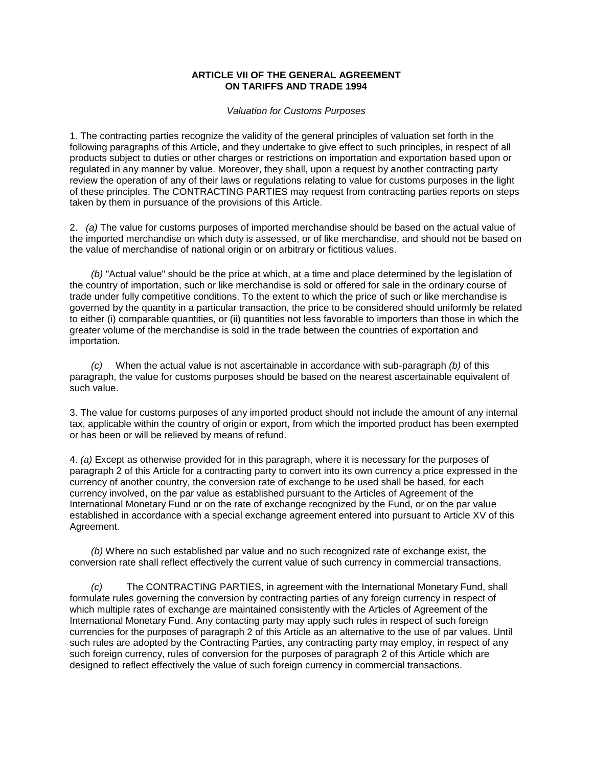## **ARTICLE VII OF THE GENERAL AGREEMENT ON TARIFFS AND TRADE 1994**

*Valuation for Customs Purposes*

1. The contracting parties recognize the validity of the general principles of valuation set forth in the following paragraphs of this Article, and they undertake to give effect to such principles, in respect of all products subject to duties or other charges or restrictions on importation and exportation based upon or regulated in any manner by value. Moreover, they shall, upon a request by another contracting party review the operation of any of their laws or regulations relating to value for customs purposes in the light of these principles. The CONTRACTING PARTIES may request from contracting parties reports on steps taken by them in pursuance of the provisions of this Article.

2. *(a)* The value for customs purposes of imported merchandise should be based on the actual value of the imported merchandise on which duty is assessed, or of like merchandise, and should not be based on the value of merchandise of national origin or on arbitrary or fictitious values.

 *(b)* "Actual value" should be the price at which, at a time and place determined by the legislation of the country of importation, such or like merchandise is sold or offered for sale in the ordinary course of trade under fully competitive conditions. To the extent to which the price of such or like merchandise is governed by the quantity in a particular transaction, the price to be considered should uniformly be related to either (i) comparable quantities, or (ii) quantities not less favorable to importers than those in which the greater volume of the merchandise is sold in the trade between the countries of exportation and importation.

 *(c)* When the actual value is not ascertainable in accordance with sub-paragraph *(b)* of this paragraph, the value for customs purposes should be based on the nearest ascertainable equivalent of such value.

3. The value for customs purposes of any imported product should not include the amount of any internal tax, applicable within the country of origin or export, from which the imported product has been exempted or has been or will be relieved by means of refund.

4. *(a)* Except as otherwise provided for in this paragraph, where it is necessary for the purposes of paragraph 2 of this Article for a contracting party to convert into its own currency a price expressed in the currency of another country, the conversion rate of exchange to be used shall be based, for each currency involved, on the par value as established pursuant to the Articles of Agreement of the International Monetary Fund or on the rate of exchange recognized by the Fund, or on the par value established in accordance with a special exchange agreement entered into pursuant to Article XV of this Agreement.

 *(b)* Where no such established par value and no such recognized rate of exchange exist, the conversion rate shall reflect effectively the current value of such currency in commercial transactions.

 *(c)* The CONTRACTING PARTIES, in agreement with the International Monetary Fund, shall formulate rules governing the conversion by contracting parties of any foreign currency in respect of which multiple rates of exchange are maintained consistently with the Articles of Agreement of the International Monetary Fund. Any contacting party may apply such rules in respect of such foreign currencies for the purposes of paragraph 2 of this Article as an alternative to the use of par values. Until such rules are adopted by the Contracting Parties, any contracting party may employ, in respect of any such foreign currency, rules of conversion for the purposes of paragraph 2 of this Article which are designed to reflect effectively the value of such foreign currency in commercial transactions.